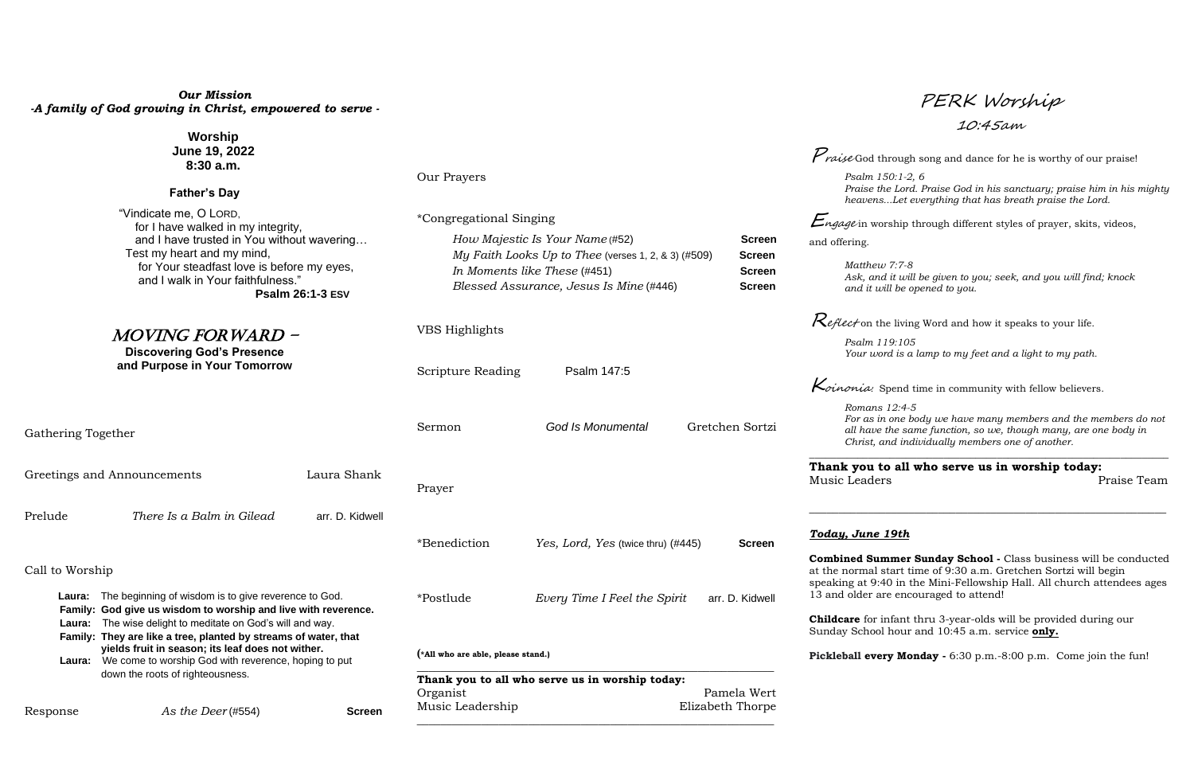# *Our Mission -A family of God growing in Christ, empowered to serve -*

| Response                                                                                                                                                                                                                                                                                                                                                                              | As the Deer $(\#554)$     | <b>Screen</b>                                                                                                                                                                       | Music Leadership                                                           |                                                                                                                    | Elizabeth Thorpe                                                        |                                                                                                                                                                                                        |  |
|---------------------------------------------------------------------------------------------------------------------------------------------------------------------------------------------------------------------------------------------------------------------------------------------------------------------------------------------------------------------------------------|---------------------------|-------------------------------------------------------------------------------------------------------------------------------------------------------------------------------------|----------------------------------------------------------------------------|--------------------------------------------------------------------------------------------------------------------|-------------------------------------------------------------------------|--------------------------------------------------------------------------------------------------------------------------------------------------------------------------------------------------------|--|
| down the roots of righteousness.                                                                                                                                                                                                                                                                                                                                                      |                           |                                                                                                                                                                                     | Thank you to all who serve us in worship today:<br>Pamela Wert<br>Organist |                                                                                                                    |                                                                         |                                                                                                                                                                                                        |  |
| Laura: The beginning of wisdom is to give reverence to God.<br>Family: God give us wisdom to worship and live with reverence.<br>The wise delight to meditate on God's will and way.<br>Laura:<br>Family: They are like a tree, planted by streams of water, that<br>yields fruit in season; its leaf does not wither.<br>Laura: We come to worship God with reverence, hoping to put |                           |                                                                                                                                                                                     | (*All who are able, please stand.)                                         |                                                                                                                    |                                                                         | Pickleball every Monday - 6:30 p.m. -8:00 p.m. Come join the fun!                                                                                                                                      |  |
|                                                                                                                                                                                                                                                                                                                                                                                       |                           |                                                                                                                                                                                     |                                                                            |                                                                                                                    |                                                                         | <b>Childcare</b> for infant thru 3-year-olds will be provided during our<br>Sunday School hour and 10:45 a.m. service only.                                                                            |  |
|                                                                                                                                                                                                                                                                                                                                                                                       |                           |                                                                                                                                                                                     | *Postlude                                                                  | Every Time I Feel the Spirit                                                                                       | arr. D. Kidwell                                                         | speaking at 9:40 in the Mini-Fellowship Hall. All church attendees ages<br>13 and older are encouraged to attend!                                                                                      |  |
| Call to Worship                                                                                                                                                                                                                                                                                                                                                                       |                           |                                                                                                                                                                                     |                                                                            |                                                                                                                    |                                                                         | Combined Summer Sunday School - Class business will be conducted<br>at the normal start time of 9:30 a.m. Gretchen Sortzi will begin                                                                   |  |
|                                                                                                                                                                                                                                                                                                                                                                                       |                           |                                                                                                                                                                                     | *Benediction                                                               | Yes, Lord, Yes (twice thru) (#445)                                                                                 | <b>Screen</b>                                                           | Today, June 19th                                                                                                                                                                                       |  |
| Prelude                                                                                                                                                                                                                                                                                                                                                                               | There Is a Balm in Gilead | arr. D. Kidwell                                                                                                                                                                     |                                                                            |                                                                                                                    |                                                                         |                                                                                                                                                                                                        |  |
| Laura Shank<br>Greetings and Announcements                                                                                                                                                                                                                                                                                                                                            |                           |                                                                                                                                                                                     | Prayer                                                                     |                                                                                                                    |                                                                         | Thank you to all who serve us in worship today:<br>Praise Team<br>Music Leaders                                                                                                                        |  |
| Gathering Together                                                                                                                                                                                                                                                                                                                                                                    |                           |                                                                                                                                                                                     | <b>God Is Monumental</b><br>Gretchen Sortzi<br>Sermon                      |                                                                                                                    |                                                                         | Romans 12:4-5<br>For as in one body we have many members and the members do not<br>all have the same function, so we, though many, are one body in<br>Christ, and individually members one of another. |  |
|                                                                                                                                                                                                                                                                                                                                                                                       |                           | Scripture Reading                                                                                                                                                                   | Psalm 147:5                                                                |                                                                                                                    | $\kappa$ <i>inonia:</i> Spend time in community with fellow believers.  |                                                                                                                                                                                                        |  |
| <b>Discovering God's Presence</b><br>and Purpose in Your Tomorrow                                                                                                                                                                                                                                                                                                                     |                           |                                                                                                                                                                                     |                                                                            |                                                                                                                    | Psalm 119:105<br>Your word is a lamp to my feet and a light to my path. |                                                                                                                                                                                                        |  |
| Test my heart and my mind,<br>for Your steadfast love is before my eyes,<br>and I walk in Your faithfulness."<br><b>Psalm 26:1-3 ESV</b><br><i>MOVING FORWARD -</i>                                                                                                                                                                                                                   |                           | VBS Highlights                                                                                                                                                                      |                                                                            |                                                                                                                    | $\mathcal{R}$ eflect on the living Word and how it speaks to your life. |                                                                                                                                                                                                        |  |
|                                                                                                                                                                                                                                                                                                                                                                                       |                           | My Faith Looks Up to Thee (verses 1, 2, & 3) $(#509)$<br><b>Screen</b><br>In Moments like These (#451)<br><b>Screen</b><br>Blessed Assurance, Jesus Is Mine (#446)<br><b>Screen</b> |                                                                            | Matthew 7:7-8<br>Ask, and it will be given to you; seek, and you will find; knock<br>and it will be opened to you. |                                                                         |                                                                                                                                                                                                        |  |
| for I have walked in my integrity,<br>and I have trusted in You without wavering                                                                                                                                                                                                                                                                                                      |                           |                                                                                                                                                                                     | How Majestic Is Your Name (#52)<br><b>Screen</b>                           |                                                                                                                    |                                                                         | <i>Engage</i> in worship through different styles of prayer, skits, videos,<br>and offering.                                                                                                           |  |
| <b>Father's Day</b><br>"Vindicate me, O LORD,                                                                                                                                                                                                                                                                                                                                         |                           |                                                                                                                                                                                     | *Congregational Singing                                                    |                                                                                                                    |                                                                         | heavensLet everything that has breath praise the Lord.                                                                                                                                                 |  |
|                                                                                                                                                                                                                                                                                                                                                                                       |                           |                                                                                                                                                                                     | Our Prayers                                                                |                                                                                                                    |                                                                         | Psalm 150:1-2, 6<br>Praise the Lord. Praise God in his sanctuary; praise him in his mighty                                                                                                             |  |
| <b>Worship</b><br>June 19, 2022<br>8:30a.m.                                                                                                                                                                                                                                                                                                                                           |                           |                                                                                                                                                                                     |                                                                            |                                                                                                                    |                                                                         | <i>Praise</i> God through song and dance for he is worthy of our praise!                                                                                                                               |  |

PERK Worship

10:45am

# *Today, June 19th*